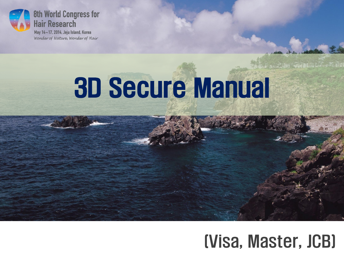

Wonder of Nature, Wonder of Hair

# 3D Secure Manual



## (Visa, Master, JCB)

**AND THE WAY DEADS AND THE REA**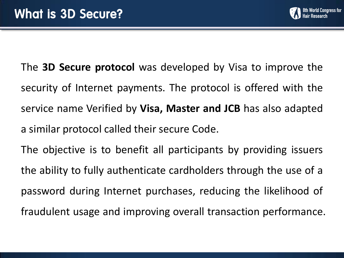

The **3D Secure protocol** was developed by Visa to improve the security of Internet payments. The protocol is offered with the service name Verified by **Visa, Master and JCB** has also adapted a similar protocol called their secure Code.

The objective is to benefit all participants by providing issuers the ability to fully authenticate cardholders through the use of a password during Internet purchases, reducing the likelihood of fraudulent usage and improving overall transaction performance.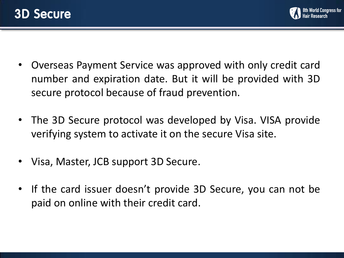

- Overseas Payment Service was approved with only credit card number and expiration date. But it will be provided with 3D secure protocol because of fraud prevention.
- The 3D Secure protocol was developed by Visa. VISA provide verifying system to activate it on the secure Visa site.
- Visa, Master, JCB support 3D Secure.
- If the card issuer doesn't provide 3D Secure, you can not be paid on online with their credit card.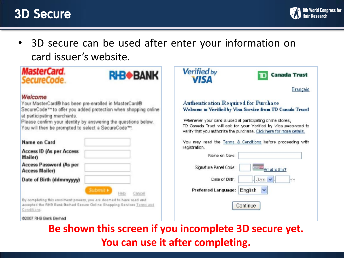### 3D Secure



• 3D secure can be used after enter your information on card issuer's website.

| <b>MasterCard.</b><br>ecureCode.                                                                                                                               | <b>RHB<sup>+</sup>BANK</b> | <b>Verified by</b><br><b>VISA</b>                                                                                                     | <b>Canada Trust</b> |
|----------------------------------------------------------------------------------------------------------------------------------------------------------------|----------------------------|---------------------------------------------------------------------------------------------------------------------------------------|---------------------|
|                                                                                                                                                                |                            |                                                                                                                                       | Français            |
| Welcome                                                                                                                                                        |                            |                                                                                                                                       |                     |
| Your MasterCard® has been pre-enrolled in MasterCard®                                                                                                          |                            | Authentication Required for Purchase                                                                                                  |                     |
| SecureCode <sup>++</sup> to offer you added protection when shopping online                                                                                    |                            | Welcome to Verified by Visa Service from TD Canada Trust!                                                                             |                     |
| at participating merchants.                                                                                                                                    |                            | Whenever your card is used at participating online stores,                                                                            |                     |
| Please confirm your identity by answering the questions below.<br>You will then be prompted to select a SecureCode <sup>TH</sup> .                             |                            | TD Canada Trust will ask for your Verified by Visa password to<br>verify that you authorize the purchase. Cick here for more details. |                     |
| <b>Name on Card</b>                                                                                                                                            |                            | You may read the Terms & Conditions before proceeding with                                                                            |                     |
| <b>Access ID (As per Access</b>                                                                                                                                |                            | recistration.                                                                                                                         |                     |
| Mailer)                                                                                                                                                        |                            | Name on Card:                                                                                                                         |                     |
| <b>Access Password (As per</b>                                                                                                                                 |                            | Signature Panel Code:                                                                                                                 |                     |
| <b>Access Mailer)</b>                                                                                                                                          |                            |                                                                                                                                       | What is this?       |
| Date of Birth (ddmmyyyy)                                                                                                                                       |                            | Date of Birth:                                                                                                                        | Jan $\vee$          |
|                                                                                                                                                                | Submit F<br>ancel          | Preferred Language:<br>English                                                                                                        | $\checkmark$        |
| By completing this enrolment process, you are deemed to have read and<br>accepted the RHB Bank Berhad Secure Online Shopping Services Terms and<br>Conditions. |                            | Continue                                                                                                                              |                     |
| @2007 RHB Bank Berhad                                                                                                                                          |                            |                                                                                                                                       |                     |

**Be shown this screen if you incomplete 3D secure yet. You can use it after completing.**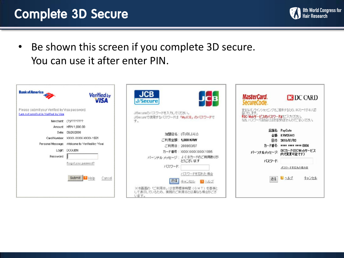### Complete 3D Secure



• Be shown this screen if you complete 3D secure. You can use it after enter PIN.

| <b>Bank of America</b>                                                                 | <b>Verified by</b><br><b>VISA</b>                                                                                                                | <b>JCB</b><br><b>J/Secure</b>                                                                                                        | <b>MasterCard.</b><br><b>EDC CARD</b><br>SecureCode.                                                                                              |
|----------------------------------------------------------------------------------------|--------------------------------------------------------------------------------------------------------------------------------------------------|--------------------------------------------------------------------------------------------------------------------------------------|---------------------------------------------------------------------------------------------------------------------------------------------------|
| Please submit your Verified by Visa password.<br>I am not enrolled in Verified by Visa | Merchant (?)????????<br>Amount: KRW 1,000.00                                                                                                     | J/Secureのパスワードを入力してください。<br>J/Secureで使用するパスワードは「MyJCB」のパスワードで<br>す。                                                                  | 安全なオンラインショッピングをご提供するため、DOカードが本人認<br>証いたします。<br>TDC Webサービスのバスワードほをご入力ください。<br>なお、パスワードはお店には送信されませんのでご安心ください。                                      |
| Password                                                                               | Date: 09/25/2008<br>Card Number: XXXX-XXXX-XXXX-1551<br>Personal Message: Welcome to Verified by Visal<br>Login: DOGUEN<br>Forgot your password? | 加盟店名: (주)이니시스<br>ご利用金額:1,000 KRW<br>ご利用日: 2008/03/07<br>力ード番号: XXXXXXXXXXXXX 1095<br>パーソナル メッセージ: JCBカードのご利用ありが<br>とうございます<br>パスワード: | 店舗名: PayGate<br>全額: KRW25442<br>日付: 2010/07/02<br>力ード番号: **** **** **** 0004<br>バーソナルメッセージ: DCカード(DCWebサービス<br>内で変更可能です)<br>バスワード<br>バスワードを忘れた場合は |
|                                                                                        | Submit <b>7</b> Help<br>Cancel                                                                                                                   | パスワードを忘れた場合<br>建信<br>キャンセル 2 ヘルプ<br>※本面面の「ご利用日」は世界標準時間 (GMT)を基準と<br>して表示しているため、実際のご利用Bとは異なる場合がござ<br>します。                             | ロヘルブ<br>キャンセル<br>途信                                                                                                                               |